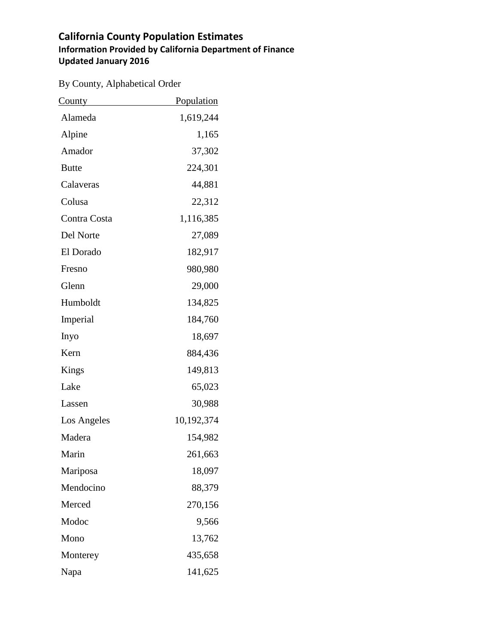| By County, Alphabetical Order |  |  |
|-------------------------------|--|--|
|-------------------------------|--|--|

| <u>County</u> | <b>Population</b> |
|---------------|-------------------|
| Alameda       | 1,619,244         |
| Alpine        | 1,165             |
| Amador        | 37,302            |
| <b>Butte</b>  | 224,301           |
| Calaveras     | 44,881            |
| Colusa        | 22,312            |
| Contra Costa  | 1,116,385         |
| Del Norte     | 27,089            |
| El Dorado     | 182,917           |
| Fresno        | 980,980           |
| Glenn         | 29,000            |
| Humboldt      | 134,825           |
| Imperial      | 184,760           |
| Inyo          | 18,697            |
| Kern          | 884,436           |
| Kings         | 149,813           |
| Lake          | 65,023            |
| Lassen        | 30,988            |
| Los Angeles   | 10,192,374        |
| Madera        | 154,982           |
| Marin         | 261,663           |
| Mariposa      | 18,097            |
| Mendocino     | 88,379            |
| Merced        | 270,156           |
| Modoc         | 9,566             |
| Mono          | 13,762            |
| Monterey      | 435,658           |
| Napa          | 141,625           |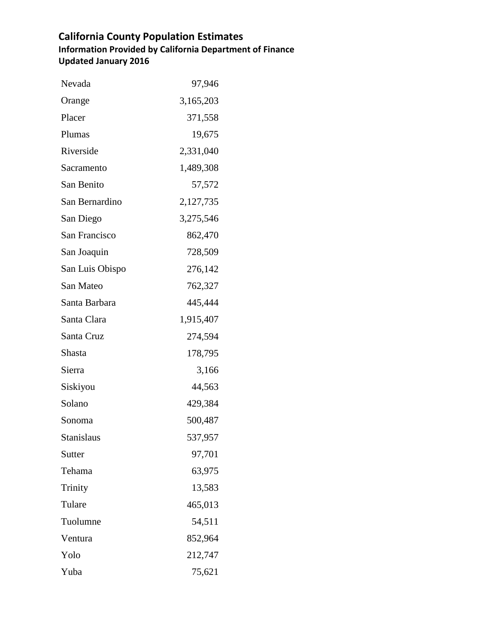| Nevada          | 97,946    |
|-----------------|-----------|
| Orange          | 3,165,203 |
| Placer          | 371,558   |
| Plumas          | 19,675    |
| Riverside       | 2,331,040 |
| Sacramento      | 1,489,308 |
| San Benito      | 57,572    |
| San Bernardino  | 2,127,735 |
| San Diego       | 3,275,546 |
| San Francisco   | 862,470   |
| San Joaquin     | 728,509   |
| San Luis Obispo | 276,142   |
| San Mateo       | 762,327   |
| Santa Barbara   | 445,444   |
| Santa Clara     | 1,915,407 |
| Santa Cruz      | 274,594   |
| Shasta          | 178,795   |
| Sierra          | 3,166     |
| Siskiyou        | 44,563    |
| Solano          | 429,384   |
| Sonoma          | 500,487   |
| Stanislaus      | 537,957   |
| Sutter          | 97,701    |
| Tehama          | 63,975    |
| Trinity         | 13,583    |
| Tulare          | 465,013   |
| Tuolumne        | 54,511    |
| Ventura         | 852,964   |
| Yolo            | 212,747   |
| Yuba            | 75,621    |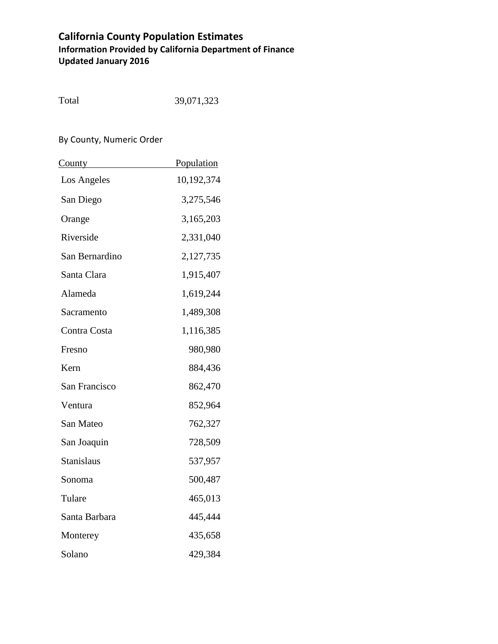| Total | 39,071,323 |
|-------|------------|
|       |            |

#### By County, Numeric Order

| <b>County</b>     | Population |
|-------------------|------------|
| Los Angeles       | 10,192,374 |
| San Diego         | 3,275,546  |
| Orange            | 3,165,203  |
| Riverside         | 2,331,040  |
| San Bernardino    | 2,127,735  |
| Santa Clara       | 1,915,407  |
| Alameda           | 1,619,244  |
| Sacramento        | 1,489,308  |
| Contra Costa      | 1,116,385  |
| Fresno            | 980,980    |
| Kern              | 884,436    |
| San Francisco     | 862,470    |
| Ventura           | 852,964    |
| San Mateo         | 762,327    |
| San Joaquin       | 728,509    |
| <b>Stanislaus</b> | 537,957    |
| Sonoma            | 500,487    |
| Tulare            | 465,013    |
| Santa Barbara     | 445,444    |
| Monterey          | 435,658    |
| Solano            | 429,384    |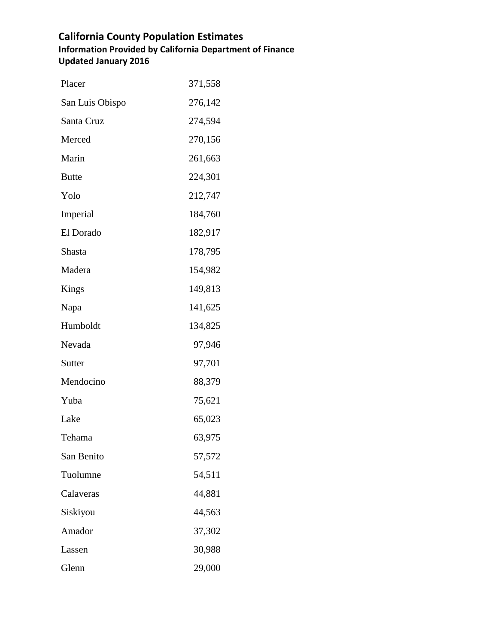| Placer          | 371,558 |
|-----------------|---------|
| San Luis Obispo | 276,142 |
| Santa Cruz      | 274,594 |
| Merced          | 270,156 |
| Marin           | 261,663 |
| <b>Butte</b>    | 224,301 |
| Yolo            | 212,747 |
| Imperial        | 184,760 |
| El Dorado       | 182,917 |
| Shasta          | 178,795 |
| Madera          | 154,982 |
| Kings           | 149,813 |
| Napa            | 141,625 |
| Humboldt        | 134,825 |
| Nevada          | 97,946  |
| Sutter          | 97,701  |
| Mendocino       | 88,379  |
| Yuba            | 75,621  |
| Lake            | 65,023  |
| Tehama          | 63,975  |
| San Benito      | 57,572  |
| Tuolumne        | 54,511  |
| Calaveras       | 44,881  |
| Siskiyou        | 44,563  |
| Amador          | 37,302  |
| Lassen          | 30,988  |
| Glenn           | 29,000  |